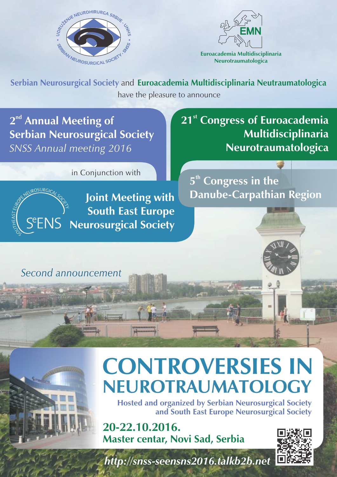



**Euroacademia Multidisciplinaria Neurotraumatologica**

have the pleasure to announce **Serbian Neurosurgical Society** and **Euroacademia Multidisciplinaria Neutraumatologica**

2<sup>nd</sup> Annual Meeting of **Serbian Neurosurgical Society** *SNSS Annual meeting 2016* 

in Conjunction with



**Joint Meeting with South East Europe SENS** Neurosurgical Society

**21<sup>st</sup> Congress of Euroacademia Multidisciplinaria Neurotraumatologica** 

**Congress in the Danube-Carpathian Region**

## *Second announcement*

# **CONTROVERSIES IN NEUROTRAUMATOLOGY**

**Hosted and organized by Serbian Neurosurgical Society and South East Europe Neurosurgical Society**

**20-22.10.2016. Master centar, Novi Sad, Serbia**



*http://snss-seensns2016.talkb2b.net*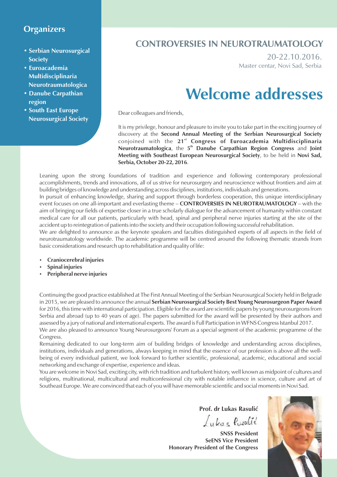### **Organizers**

- **Serbian Neurosurgical Society**
- **Euroacademia Multidisciplinaria Neurotraumatologica**
- **Danube Carpathian region**
- **South East Europe Neurosurgical Society**

## **CONTROVERSIES IN NEUROTRAUMATOLOGY**

20-22.10.2016. Master centar, Novi Sad, Serbia

## **Welcome addresses**

Dear colleagues and friends,

It is my privilege, honour and pleasure to invite you to take part in the exciting journey of discovery at the **Second Annual Meeting of the Serbian Neurosurgical Society st** conjoined with the **21 Congress of Euroacademia Multidisciplinaria Neurotraumatologica**, the 5<sup>th</sup> Danube Carpathian Region Congress and Joint **Meeting with Southeast European Neurosurgical Society**, to be held in **Novi Sad, Serbia, October 20-22, 2016**.

Leaning upon the strong foundations of tradition and experience and following contemporary professional accomplishments, trends and innovations, all of us strive for neurosurgery and neuroscience without frontiers and aim at building bridges of knowledge and understanding across disciplines, institutions, individuals and generations.

In pursuit of enhancing knowledge, sharing and support through borderless cooperation, this unique interdisciplinary event focuses on one all-important and everlasting theme – **CONTROVERSIES IN NEUROTRAUMATOLOGY** – with the aim of bringing our fields of expertise closer in a true scholarly dialogue for the advancement of humanity within constant medical care for all our patients, particularly with head, spinal and peripheral nerve injuries starting at the site of the accident up to reintegration of patients into the society and their occupation following successful rehabilitation.

We are delighted to announce as the keynote speakers and faculties distinguished experts of all aspects in the field of neurotraumatology worldwide. The academic programme will be centred around the following thematic strands from basic considerations and research up to rehabilitation and quality of life:

- ź **Craniocerebral injuries**
- ź **Spinal injuries**
- **Peripheral nerve injuries**

Continuing the good practice established at The First Annual Meeting of the Serbian Neurosurgical Society held in Belgrade in 2015, we are pleased to announce the annual **Serbian Neurosurgical Society Best Young Neurosurgeon Paper Award** for 2016, this time with international participation. Eligible for the award are scientific papers by young neurosurgeons from Serbia and abroad (up to 40 years of age). The papers submitted for the award will be presented by their authors and assessed by a jury of national and international experts. The award is Full Participation in WFNS Congress Istanbul 2017. We are also pleased to announce Young Neurosurgeons' Forum as a special segment of the academic programme of the Congress.

Remaining dedicated to our long-term aim of building bridges of knowledge and understanding across disciplines, institutions, individuals and generations, always keeping in mind that the essence of our profession is above all the wellbeing of every individual patient, we look forward to further scientific, professional, academic, educational and social networking and exchange of expertise, experience and ideas.

You are welcome in Novi Sad, exciting city, with rich tradition and turbulent history, well known as midpoint of cultures and religions, multinational, multicultural and multiconfessional city with notable influence in science, culture and art of Southeast Europe. We are convinced that each of you will have memorable scientific and social moments in Novi Sad.

**Prof. dr Lukas Rasulić**

Lukas Posulić

**SNSS President SeENS Vice President Honorary President of the Congress**

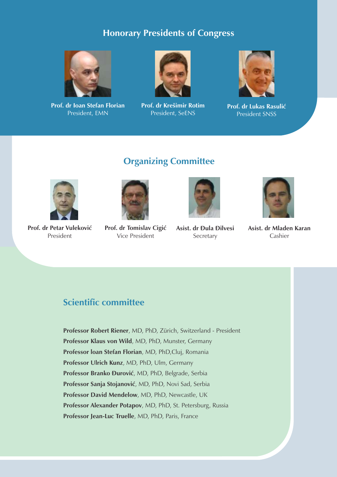## **Honorary Presidents of Congress**



**Prof. dr Ioan Stefan Florian** President, EMN



**Prof. dr Kre{imir Rotim** President, SeENS



**Prof. dr Lukas Rasulić** President SNSS

## **Organizing Committee**



**Prof. dr Petar Vuleković** President



**Prof. dr Tomislav Cigić** Vice President



**Asist. dr Đula Đilvesi** Secretary



**Asist. dr Mladen Karan** Cashier

### **Scientific committee**

**Professor Robert Riener**, MD, PhD, Zürich, Switzerland - President **Professor Klaus von Wild**, MD, PhD, Munster, Germany **Professor loan Stefan Florian**, MD, PhD,Cluj, Romania **Professor Ulrich Kunz**, MD, PhD, Ulm, Germany **Professor Branko \urović**, MD, PhD, Belgrade, Serbia **Professor Sanja Stojanović**, MD, PhD, Novi Sad, Serbia **Professor David Mendelow**, MD, PhD, Newcastle, UK **Professor Alexander Potapov**, MD, PhD, St. Petersburg, Russia **Professor Jean-Luc Truelle**, MD, PhD, Paris, France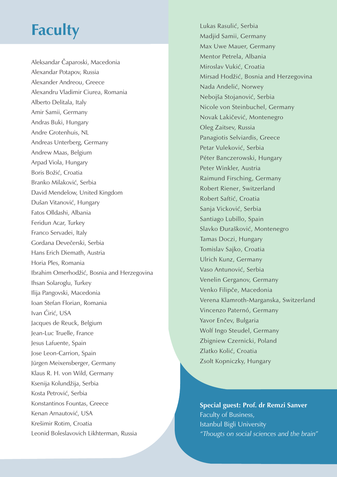## **Faculty**

Aleksandar Čaparoski, Macedonia Alexandar Potapov, Russia Alexander Andreou, Greece Alexandru Vladimir Ciurea, Romania Alberto Delitala, Italy Amir Samii, Germany Andras Buki, Hungary Andre Grotenhuis, NL Andreas Unterberg, Germany Andrew Maas, Belgium Arpad Viola, Hungary Boris Božić, Croatia Branko Milaković, Serbia David Mendelow, United Kingdom Dušan Vitanović, Hungary Fatos Olldashi, Albania Feridun Acar, Turkey Franco Servadei, Italy Gordana Devečerski, Serbia Hans Erich Diemath, Austria Horia Ples, Romania Ibrahim Omerhodžić, Bosnia and Herzegovina Ihsan Solaroglu, Turkey Ilija Pangovski, Macedonia Ioan Stefan Florian, Romania Ivan Ćirić, USA Jacques de Reuck, Belgium Jean-Luc Truelle, France Jesus Lafuente, Spain Jose Leon-Carrion, Spain Jürgen Meixensberger, Germany Klaus R. H. von Wild, Germany Ksenija Kolundžija, Serbia Kosta Petrović, Serbia Konstantinos Fountas, Greece Kenan Arnautović, USA Kre{imir Rotim, Croatia Leonid Boleslavovich Likhterman, Russia

Lukas Rasulić, Serbia Madjid Samii, Germany Max Uwe Mauer, Germany Mentor Petrela, Albania Miroslav Vukić, Croatia Mirsad Hodžić, Bosnia and Herzegovina Nada Andelić, Norwey Nebojša Stojanović, Serbia Nicole von Steinbuchel, Germany Novak Lakičević, Montenegro Oleg Zaitsev, Russia Panagiotis Selviardis, Greece Petar Vuleković, Serbia Péter Banczerowski, Hungary Peter Winkler, Austria Raimund Firsching, Germany Robert Riener, Switzerland Robert Saftić, Croatia Sanja Vicković, Serbia Santiago Lubillo, Spain Slavko Đurašković, Montenegro Tamas Doczi, Hungary Tomislav Sajko, Croatia Ulrich Kunz, Germany Vaso Antunović, Serbia Venelin Gerganov, Germany Venko Filipče, Macedonia Verena Klamroth-Marganska, Switzerland Vincenzo Paternó, Germany Yavor Enčev, Bulgaria Wolf Ingo Steudel, Germany Zbigniew Czernicki, Poland Zlatko Kolić, Croatia Zsolt Kopniczky, Hungary

**Special guest: Prof. dr Remzi Sanver** Faculty of Business, Istanbul Bigli University *"Thougts on social sciences and the brain"*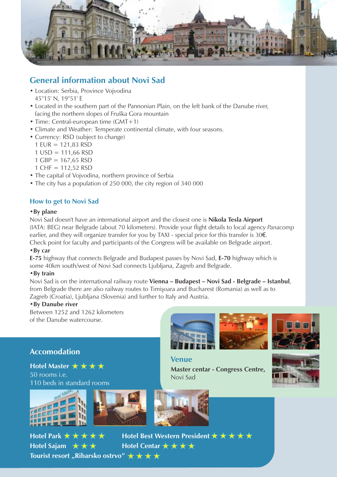

## **General information about Novi Sad**

- Location: Serbia, Province Vojvodina 45°15' N, 19°51' E
- Located in the southern part of the Pannonian Plain, on the left bank of the Danube river, facing the northern slopes of Fruška Gora mountain
- Time: Central-european time (GMT+1)
- Climate and Weather: Temperate continental climate, with four seasons.
- Currency: RSD (subject to change)
	- 1 EUR = 121,83 RSD
	- $1$  USD = 111.66 RSD
	- $1$  GBP = 167,65 RSD
	- 1 CHF = 112,52 RSD
- The capital of Vojvodina, northern province of Serbia
- The city has a population of 250 000, the city region of 340 000

### **How to get to Novi Sad**

#### **•By plane**

Novi Sad doesn't have an international airport and the closest one is **Nikola Tesla Airport** (IATA: BEG) near Belgrade (about 70 kilometers). Provide your flight details to local agency *Panacomp* earlier, and they will organize transfer for you by TAXI - special price for this transfer is 30€. Check point for faculty and participants of the Congress will be available on Belgrade airport.

#### **•By car**

**E-75** highway that connects Belgrade and Budapest passes by Novi Sad, **E-70** highway which is some 40km south/west of Novi Sad connects Ljubljana, Zagreb and Belgrade.

#### **•By train**

Novi Sad is on the international railway route **Vienna – Budapest – Novi Sad - Belgrade – Istanbul**, from Belgrade there are also railway routes to Timişoara and Bucharest (Romania) as well as to Zagreb (Croatia), Ljubljana (Slovenia) and further to Italy and Austria.

#### **•By Danube river**

Between 1252 and 1262 kilometers of the Danube watercourse.

### **Accomodation**

**Hotel Master <del>★ ★ ★</del>** 50 rooms i.e. 110 beds in standard rooms



**Hotel Park**

**Hotel Sajam**







**Tourist resort "Ribarsko ostrvo"** ★ ★ ★ ★





**Venue Master centar - Congress Centre,**  Novi Sad

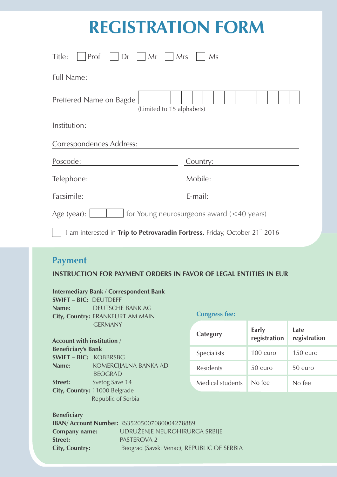## **REGISTRATION FORM**

| Prof<br>Dr<br>$\vert$ Mr<br>Title:<br>Mrs                                               | <b>Ms</b> |  |
|-----------------------------------------------------------------------------------------|-----------|--|
| <b>Full Name:</b>                                                                       |           |  |
| Preffered Name on Bagde<br>(Limited to 15 alphabets)                                    |           |  |
| Institution:                                                                            |           |  |
| Correspondences Address:                                                                |           |  |
| Poscode:                                                                                | Country:  |  |
| Telephone:                                                                              | Mobile:   |  |
| Facsimile:                                                                              | E-mail:   |  |
| for Young neurosurgeons award $(<$ 40 years)<br>Age (year):                             |           |  |
| I am interested in Trip to Petrovaradin Fortress, Friday, October 21 <sup>th</sup> 2016 |           |  |

## **Payment**

### **INSTRUCTION FOR PAYMENT ORDERS IN FAVOR OF LEGAL ENTITIES IN EUR**

#### **Intermediary Bank / Correspondent Bank**

**SWIFT – BIC:** DEUTDEFF **Name:** DEUTSCHE BANK AG **City, Country:** FRANKFURT AM MAIN GERMANY

**Account with institution / Beneficiary's Bank SWIFT – BIC:** KOBBRSBG **Name:** KOMERCIJALNA BANKA AD BEOGRAD **Street:** Svetog Save 14 **City, Country:** 11000 Belgrade Republic of Serbia

#### **Congress fee:**

| Category         | Early<br>registration | Late<br>registration |
|------------------|-----------------------|----------------------|
| Specialists      | $100$ euro            | $150$ euro           |
| Residents        | $50$ euro             | $50$ euro            |
| Medical students | No fee                | No fee               |

**Beneficiary** 

|                       | <b>IBAN/ Account Number: RS35205007080004278889</b> |
|-----------------------|-----------------------------------------------------|
| Company name:         | UDRUŽENJE NEUROHIRURGA SRBIJE                       |
| <b>Street:</b>        | PASTEROVA 2                                         |
| <b>City, Country:</b> | Beograd (Savski Venac), REPUBLIC OF SERBIA          |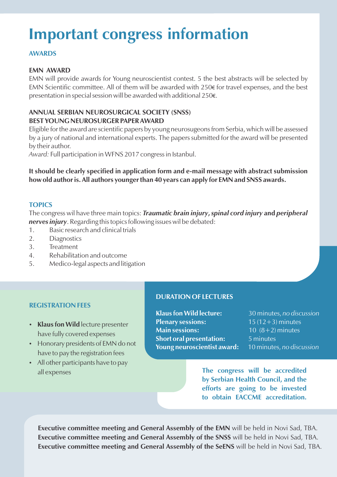## **Important congress information**

### **AWARDS**

### **EMN AWARD**

EMN will provide awards for Young neuroscientist contest. 5 the best abstracts will be selected by EMN Scientific committee. All of them will be awarded with 250€ for travel expenses, and the best presentation in special session will be awarded with additional 250€.

### **ANNUAL SERBIAN NEUROSURGICAL SOCIETY (SNSS) BEST YOUNG NEUROSURGER PAPER AWARD**

Eligible for the award are scientific papers by young neurosugeons from Serbia, which will be assessed by a jury of national and international experts. The papers submitted for the award will be presented by their author.

*Award:* Full participation in WFNS 2017 congress in Istanbul.

**It should be clearly specified in application form and e-mail message with abstract submission how old author is. All authors younger than 40 years can apply for EMN and SNSS awards.**

### **TOPICS**

The congress wil have three main topics: *Traumatic brain injury***,** *spinal cord injury* **and** *peripheral nerves injury*. Regarding this topics following issues wil be debated:

- 1. Basic research and clinical trials
- 2. Diagnostics
- 3. Treatment
- 4. Rehabilitation and outcome
- 5. Medico-legal aspects and litigation

### **REGISTRATION FEES**

- **Klaus fon Wild** lecture presenter have fully covered expenses
- Honorary presidents of EMN do not have to pay the registration fees
- All other participants have to pay all expenses

### **DURATION OF LECTURES**

**Klaus fon Wild lecture:** 30 minutes, *no discussion* **Plenary sessions:** 15 (12+3) minutes **Main sessions:** 10 (8+2) minutes **Short oral presentation:** 5 minutes **Young neuroscientist award:** 10 minutes, *no discussion*

**The congress will be accredited by Serbian Health Council, and the efforts are going to be invested to obtain EACCME accreditation.**

**Executive committee meeting and General Assembly of the EMN** will be held in Novi Sad, TBA. **Executive committee meeting and General Assembly of the SNSS** will be held in Novi Sad, TBA. **Executive committee meeting and General Assembly of the SeENS** will be held in Novi Sad, TBA.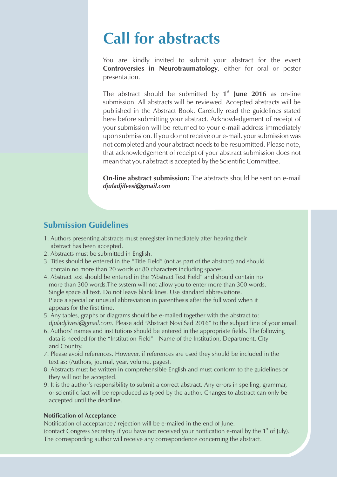## **Call for abstracts**

You are kindly invited to submit your abstract for the event **Controversies in Neurotraumatology**, either for oral or poster presentation.

The abstract should be submitted by 1<sup>st</sup> June 2016 as on-line submission. All abstracts will be reviewed. Accepted abstracts will be published in the Abstract Book. Carefully read the guidelines stated here before submitting your abstract. Acknowledgement of receipt of your submission will be returned to your e-mail address immediately upon submission. If you do not receive our e-mail, your submission was not completed and your abstract needs to be resubmitted. Please note, that acknowledgement of receipt of your abstract submission does not mean that your abstract is accepted by the Scientific Committee.

**On-line abstract submission:** The abstracts should be sent on e-mail *djuladjilvesi***@***gmail.com*

### **Submission Guidelines**

- 1. Authors presenting abstracts must enregister immediately after hearing their abstract has been accepted.
- 2. Abstracts must be submitted in English.
- 3. Titles should be entered in the "Title Field" (not as part of the abstract) and should contain no more than 20 words or 80 characters including spaces.
- 4. Abstract text should be entered in the "Abstract Text Field" and should contain no more than 300 words.The system will not allow you to enter more than 300 words. Single space all text. Do not leave blank lines. Use standard abbreviations. Place a special or unusual abbreviation in parenthesis after the full word when it appears for the first time.
- 5. Any tables, graphs or diagrams should be e-mailed together with the abstract to: djuladjilvesi@gmail.com. Please add "Abstract Novi Sad 2016" to the subject line of your email!
- 6. Authors' names and institutions should be entered in the appropriate fields. The following data is needed for the "Institution Field" - Name of the Institution, Department, City and Country.
- 7. Please avoid references. However, if references are used they should be included in the text as: (Authors, journal, year, volume, pages).
- 8. Abstracts must be written in comprehensible English and must conform to the guidelines or they will not be accepted.
- 9. It is the author's responsibility to submit a correct abstract. Any errors in spelling, grammar, or scientific fact will be reproduced as typed by the author. Changes to abstract can only be accepted until the deadline.

### **Notification of Acceptance**

Notification of acceptance / rejection will be e-mailed in the end of June. (contact Congress Secretary if you have not received your notification e-mail by the  $1<sup>st</sup>$  of July). The corresponding author will receive any correspondence concerning the abstract.